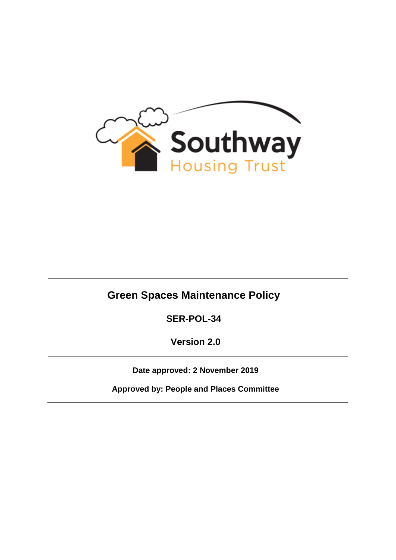

# **Green Spaces Maintenance Policy**

**SER-POL-34**

**Version 2.0**

**Date approved: 2 November 2019**

**Approved by: People and Places Committee**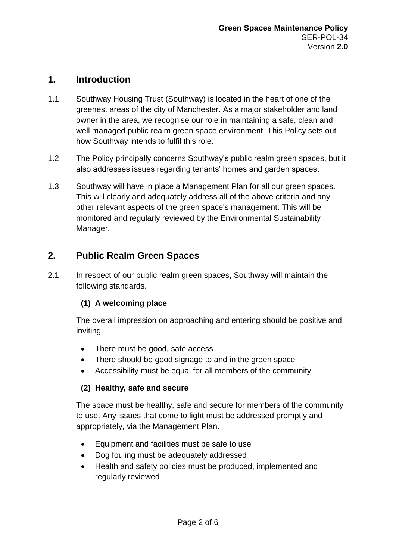## **1. Introduction**

- 1.1 Southway Housing Trust (Southway) is located in the heart of one of the greenest areas of the city of Manchester. As a major stakeholder and land owner in the area, we recognise our role in maintaining a safe, clean and well managed public realm green space environment. This Policy sets out how Southway intends to fulfil this role.
- 1.2 The Policy principally concerns Southway's public realm green spaces, but it also addresses issues regarding tenants' homes and garden spaces.
- 1.3 Southway will have in place a Management Plan for all our green spaces. This will clearly and adequately address all of the above criteria and any other relevant aspects of the green space's management. This will be monitored and regularly reviewed by the Environmental Sustainability Manager.

## **2. Public Realm Green Spaces**

2.1 In respect of our public realm green spaces, Southway will maintain the following standards.

#### **(1) A welcoming place**

The overall impression on approaching and entering should be positive and inviting.

- There must be good, safe access
- There should be good signage to and in the green space
- Accessibility must be equal for all members of the community

#### **(2) Healthy, safe and secure**

The space must be healthy, safe and secure for members of the community to use. Any issues that come to light must be addressed promptly and appropriately, via the Management Plan.

- Equipment and facilities must be safe to use
- Dog fouling must be adequately addressed
- Health and safety policies must be produced, implemented and regularly reviewed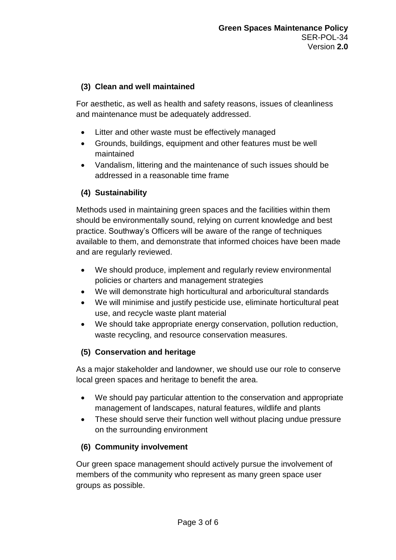#### **(3) Clean and well maintained**

For aesthetic, as well as health and safety reasons, issues of cleanliness and maintenance must be adequately addressed.

- Litter and other waste must be effectively managed
- Grounds, buildings, equipment and other features must be well maintained
- Vandalism, littering and the maintenance of such issues should be addressed in a reasonable time frame

#### **(4) Sustainability**

Methods used in maintaining green spaces and the facilities within them should be environmentally sound, relying on current knowledge and best practice. Southway's Officers will be aware of the range of techniques available to them, and demonstrate that informed choices have been made and are regularly reviewed.

- We should produce, implement and regularly review environmental policies or charters and management strategies
- We will demonstrate high horticultural and arboricultural standards
- We will minimise and justify pesticide use, eliminate horticultural peat use, and recycle waste plant material
- We should take appropriate energy conservation, pollution reduction, waste recycling, and resource conservation measures.

#### **(5) Conservation and heritage**

As a major stakeholder and landowner, we should use our role to conserve local green spaces and heritage to benefit the area.

- We should pay particular attention to the conservation and appropriate management of landscapes, natural features, wildlife and plants
- These should serve their function well without placing undue pressure on the surrounding environment

#### **(6) Community involvement**

Our green space management should actively pursue the involvement of members of the community who represent as many green space user groups as possible.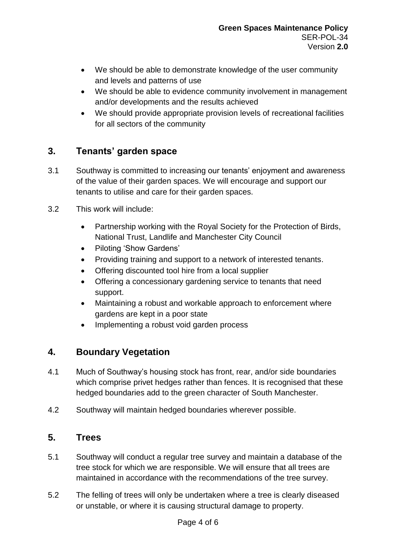- We should be able to demonstrate knowledge of the user community and levels and patterns of use
- We should be able to evidence community involvement in management and/or developments and the results achieved
- We should provide appropriate provision levels of recreational facilities for all sectors of the community

## **3. Tenants' garden space**

- 3.1 Southway is committed to increasing our tenants' enjoyment and awareness of the value of their garden spaces. We will encourage and support our tenants to utilise and care for their garden spaces.
- 3.2 This work will include:
	- Partnership working with the Royal Society for the Protection of Birds, National Trust, Landlife and Manchester City Council
	- Piloting 'Show Gardens'
	- Providing training and support to a network of interested tenants.
	- Offering discounted tool hire from a local supplier
	- Offering a concessionary gardening service to tenants that need support.
	- Maintaining a robust and workable approach to enforcement where gardens are kept in a poor state
	- Implementing a robust void garden process

## **4. Boundary Vegetation**

- 4.1 Much of Southway's housing stock has front, rear, and/or side boundaries which comprise privet hedges rather than fences. It is recognised that these hedged boundaries add to the green character of South Manchester.
- 4.2 Southway will maintain hedged boundaries wherever possible.

#### **5. Trees**

- 5.1 Southway will conduct a regular tree survey and maintain a database of the tree stock for which we are responsible. We will ensure that all trees are maintained in accordance with the recommendations of the tree survey.
- 5.2 The felling of trees will only be undertaken where a tree is clearly diseased or unstable, or where it is causing structural damage to property.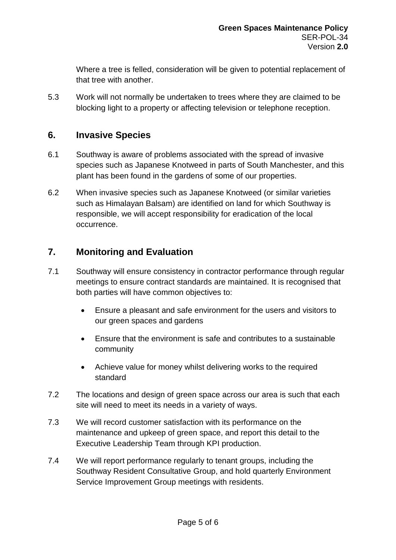Where a tree is felled, consideration will be given to potential replacement of that tree with another.

5.3 Work will not normally be undertaken to trees where they are claimed to be blocking light to a property or affecting television or telephone reception.

#### **6. Invasive Species**

- 6.1 Southway is aware of problems associated with the spread of invasive species such as Japanese Knotweed in parts of South Manchester, and this plant has been found in the gardens of some of our properties.
- 6.2 When invasive species such as Japanese Knotweed (or similar varieties such as Himalayan Balsam) are identified on land for which Southway is responsible, we will accept responsibility for eradication of the local occurrence.

#### **7. Monitoring and Evaluation**

- 7.1 Southway will ensure consistency in contractor performance through regular meetings to ensure contract standards are maintained. It is recognised that both parties will have common objectives to:
	- Ensure a pleasant and safe environment for the users and visitors to our green spaces and gardens
	- Ensure that the environment is safe and contributes to a sustainable community
	- Achieve value for money whilst delivering works to the required standard
- 7.2 The locations and design of green space across our area is such that each site will need to meet its needs in a variety of ways.
- 7.3 We will record customer satisfaction with its performance on the maintenance and upkeep of green space, and report this detail to the Executive Leadership Team through KPI production.
- 7.4 We will report performance regularly to tenant groups, including the Southway Resident Consultative Group, and hold quarterly Environment Service Improvement Group meetings with residents.